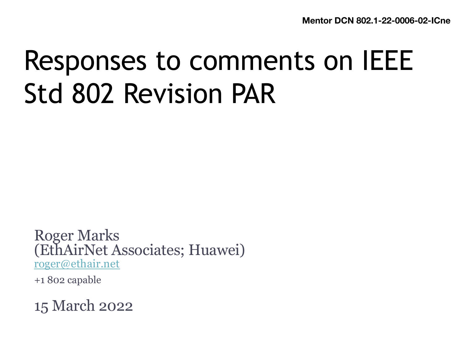# Responses to comments on IEEE Std 802 Revision PAR

Roger Marks (EthAirNet Associates; Huawei) [roger@ethair.ne](mailto:roger@ethair.net)t

+1 802 capable

15 March 2022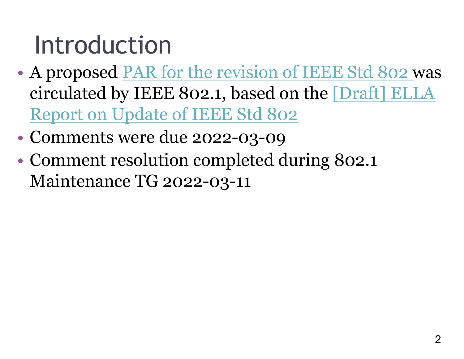#### Introduction

- A propose[d PAR for the revision of IEEE Std 802](https://ieee802.org/1/files/public/docs2022/802-rev-draft-PAR-0122-v02.pdf) was [circulated by IEEE 802.1, based on the \[Draft\] ELLA](https://mentor.ieee.org/802.1/documents?is_group=ICne&is_year=2021&is_dcn=0076) Report on Update of IEEE Std 802
- Comments were due 2022-03-09
- Comment resolution completed during 802.1 Maintenance TG 2022-03-11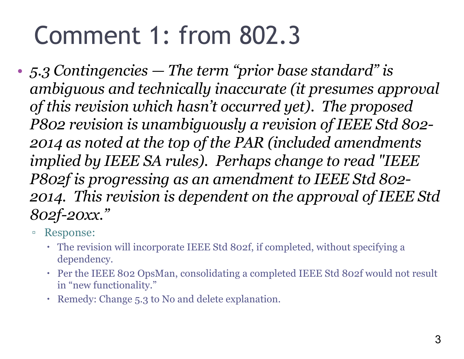### Comment 1: from 802.3

- *5.3 Contingencies — The term "prior base standard" is ambiguous and technically inaccurate (it presumes approval of this revision which hasn't occurred yet). The proposed P802 revision is unambiguously a revision of IEEE Std 802- 2014 as noted at the top of the PAR (included amendments implied by IEEE SA rules). Perhaps change to read "IEEE P802f is progressing as an amendment to IEEE Std 802- 2014. This revision is dependent on the approval of IEEE Std 802f-20xx."*
	- Response:
		- The revision will incorporate IEEE Std 802f, if completed, without specifying a dependency.
		- Per the IEEE 802 OpsMan, consolidating a completed IEEE Std 802f would not result in "new functionality."
		- Remedy: Change 5.3 to No and delete explanation.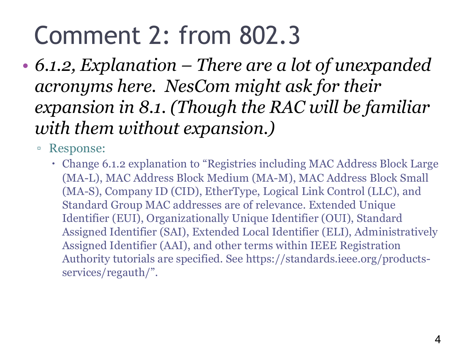### Comment 2: from 802.3

- *6.1.2, Explanation – There are a lot of unexpanded acronyms here. NesCom might ask for their expansion in 8.1. (Though the RAC will be familiar with them without expansion.)*
	- Response:
		- Change 6.1.2 explanation to "Registries including MAC Address Block Large (MA-L), MAC Address Block Medium (MA-M), MAC Address Block Small (MA-S), Company ID (CID), EtherType, Logical Link Control (LLC), and Standard Group MAC addresses are of relevance. Extended Unique Identifier (EUI), Organizationally Unique Identifier (OUI), Standard Assigned Identifier (SAI), Extended Local Identifier (ELI), Administratively Assigned Identifier (AAI), and other terms within IEEE Registration Authority tutorials are specified. See https://standards.ieee.org/productsservices/regauth/".